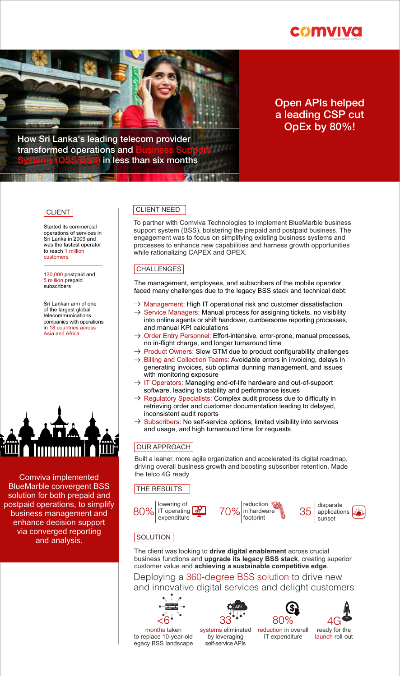



# Open APIs helped a leading CSP cut OpEx by 80%!

How Sri Lanka's leading telecom provider transformed operations and in less than six months

### **CLIENT**

Started its commercial operations of services in Sri Lanka in 2009 and was the fastest operator to reach 1 million customers

120,000 postpaid and 5 million prepaid subscribers

Sri Lankan arm of one of the largest global telecommunications companies with operations in 18 countries across Asia and Africa.



### Comviva implemented BlueMarble convergent BSS solution for both prepaid and postpaid operations, to simplify business management and enhance decision support via converged reporting and analysis.

## CLIENT NEED

To partner with Comviva Technologies to implement BlueMarble business support system (BSS), bolstering the prepaid and postpaid business. The engagement was to focus on simplifying existing business systems and processes to enhance new capabilities and harness growth opportunities while rationalizing CAPEX and OPEX.

### CHALLENGES

The management, employees, and subscribers of the mobile operator faced many challenges due to the legacy BSS stack and technical debt:

- $\rightarrow$  Management: High IT operational risk and customer dissatisfaction
- $\rightarrow$  Service Managers: Manual process for assigning tickets, no visibility into online agents or shift handover, cumbersome reporting processes, and manual KPI calculations
- $\rightarrow$  Order Entry Personnel: Effort-intensive, error-prone, manual processes, no in-flight charge, and longer turnaround time
- $\rightarrow$  Product Owners: Slow GTM due to product configurability challenges
- $\rightarrow$  Billing and Collection Teams: Avoidable errors in invoicing, delays in generating invoices, sub optimal dunning management, and issues with monitoring exposure
- $\rightarrow$  IT Operators: Managing end-of-life hardware and out-of-support software, leading to stability and performance issues
- $\rightarrow$  Regulatory Specialists: Complex audit process due to difficulty in retrieving order and customer documentation leading to delayed, inconsistent audit reports
- Subscribers: No self-service options, limited visibility into services and usage, and high turnaround time for requests

## OUR APPROACH

Built a leaner, more agile organization and accelerated its digital roadmap, driving overall business growth and boosting subscriber retention. Made the telco 4G ready

### **THE RESULTS**









## **SOLUTION**

The client was looking to **drive digital enablement** across crucial business functions and **upgrade its legacy BSS stack**, creating superior customer value and **achieving a sustainable competitive edge**.

Deploying a 360-degree BSS solution to drive new and innovative digital services and delight customers





by leveraging self-service APIs







4G ready for the launch roll-out

to replace 10-year-old egacy BSS landscape